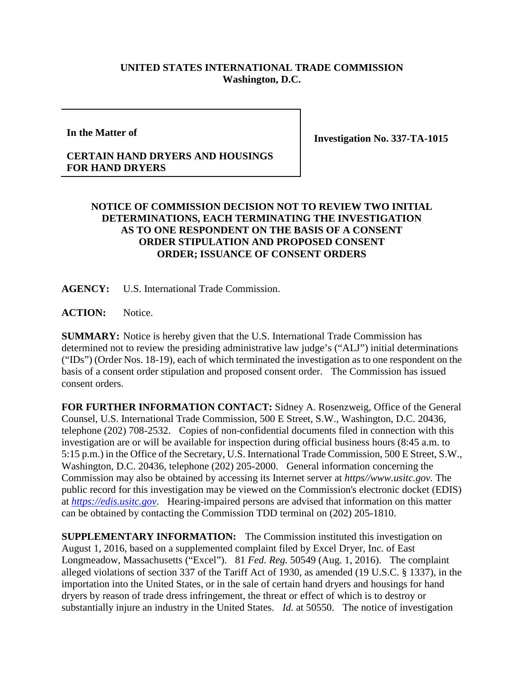## **UNITED STATES INTERNATIONAL TRADE COMMISSION Washington, D.C.**

**In the Matter of**

**Investigation No. 337-TA-1015**

## **CERTAIN HAND DRYERS AND HOUSINGS FOR HAND DRYERS**

## **NOTICE OF COMMISSION DECISION NOT TO REVIEW TWO INITIAL DETERMINATIONS, EACH TERMINATING THE INVESTIGATION AS TO ONE RESPONDENT ON THE BASIS OF A CONSENT ORDER STIPULATION AND PROPOSED CONSENT ORDER; ISSUANCE OF CONSENT ORDERS**

**AGENCY:** U.S. International Trade Commission.

**ACTION:** Notice.

**SUMMARY:** Notice is hereby given that the U.S. International Trade Commission has determined not to review the presiding administrative law judge's ("ALJ") initial determinations ("IDs") (Order Nos. 18-19), each of which terminated the investigation as to one respondent on the basis of a consent order stipulation and proposed consent order. The Commission has issued consent orders.

**FOR FURTHER INFORMATION CONTACT:** Sidney A. Rosenzweig, Office of the General Counsel, U.S. International Trade Commission, 500 E Street, S.W., Washington, D.C. 20436, telephone (202) 708-2532. Copies of non-confidential documents filed in connection with this investigation are or will be available for inspection during official business hours (8:45 a.m. to 5:15 p.m.) in the Office of the Secretary, U.S. International Trade Commission, 500 E Street, S.W., Washington, D.C. 20436, telephone (202) 205-2000. General information concerning the Commission may also be obtained by accessing its Internet server at *https//www.usitc.gov.* The public record for this investigation may be viewed on the Commission's electronic docket (EDIS) at *[https://edis.usitc.gov](https://edis.usitc.gov/)*. Hearing-impaired persons are advised that information on this matter can be obtained by contacting the Commission TDD terminal on (202) 205-1810.

**SUPPLEMENTARY INFORMATION:** The Commission instituted this investigation on August 1, 2016, based on a supplemented complaint filed by Excel Dryer, Inc. of East Longmeadow, Massachusetts ("Excel"). 81 *Fed. Reg.* 50549 (Aug. 1, 2016). The complaint alleged violations of section 337 of the Tariff Act of 1930, as amended (19 U.S.C. § 1337), in the importation into the United States, or in the sale of certain hand dryers and housings for hand dryers by reason of trade dress infringement, the threat or effect of which is to destroy or substantially injure an industry in the United States. *Id.* at 50550. The notice of investigation